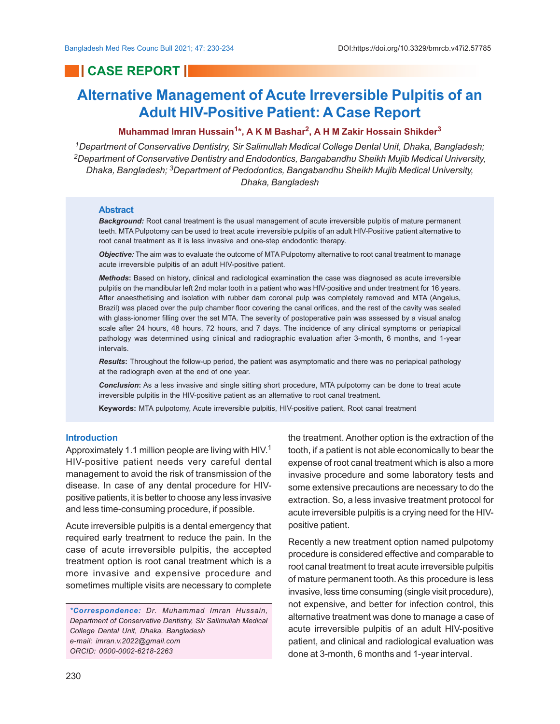## **CASE REPORT I**

# **Alternative Management of Acute Irreversible Pulpitis of an Adult HIV-Positive Patient: A Case Report**

### **Muhammad Imran Hussain<sup>1</sup> \*, A K M Bashar<sup>2</sup> , A H M Zakir Hossain Shikder<sup>3</sup>**

*<sup>1</sup>Department of Conservative Dentistry, Sir Salimullah Medical College Dental Unit, Dhaka, Bangladesh; <sup>2</sup>Department of Conservative Dentistry and Endodontics, Bangabandhu Sheikh Mujib Medical University, Dhaka, Bangladesh; 3Department of Pedodontics, Bangabandhu Sheikh Mujib Medical University, Dhaka, Bangladesh*

### **Abstract**

*Background:* Root canal treatment is the usual management of acute irreversible pulpitis of mature permanent teeth. MTA Pulpotomy can be used to treat acute irreversible pulpitis of an adult HIV-Positive patient alternative to root canal treatment as it is less invasive and one-step endodontic therapy.

*Objective:* The aim was to evaluate the outcome of MTA Pulpotomy alternative to root canal treatment to manage acute irreversible pulpitis of an adult HIV-positive patient.

*Methods***:** Based on history, clinical and radiological examination the case was diagnosed as acute irreversible pulpitis on the mandibular left 2nd molar tooth in a patient who was HIV-positive and under treatment for 16 years. After anaesthetising and isolation with rubber dam coronal pulp was completely removed and MTA (Angelus, Brazil) was placed over the pulp chamber floor covering the canal orifices, and the rest of the cavity was sealed with glass-ionomer filling over the set MTA. The severity of postoperative pain was assessed by a visual analog scale after 24 hours, 48 hours, 72 hours, and 7 days. The incidence of any clinical symptoms or periapical pathology was determined using clinical and radiographic evaluation after 3-month, 6 months, and 1-year **intervals** 

*Results***:** Throughout the follow-up period, the patient was asymptomatic and there was no periapical pathology at the radiograph even at the end of one year.

*Conclusion***:** As a less invasive and single sitting short procedure, MTA pulpotomy can be done to treat acute irreversible pulpitis in the HIV-positive patient as an alternative to root canal treatment.

**Keywords:** MTA pulpotomy, Acute irreversible pulpitis, HIV-positive patient, Root canal treatment

### **Introduction**

Approximately 1.1 million people are living with HIV.<sup>1</sup> HIV-positive patient needs very careful dental management to avoid the risk of transmission of the disease. In case of any dental procedure for HIVpositive patients, it is better to choose any less invasive and less time-consuming procedure, if possible.

Acute irreversible pulpitis is a dental emergency that required early treatment to reduce the pain. In the case of acute irreversible pulpitis, the accepted treatment option is root canal treatment which is a more invasive and expensive procedure and sometimes multiple visits are necessary to complete

*\*Correspondence: Dr. Muhammad Imran Hussain, Department of Conservative Dentistry, Sir Salimullah Medical College Dental Unit, Dhaka, Bangladesh e-mail: imran.v.2022@gmail.com ORCID: 0000-0002-6218-2263*

the treatment. Another option is the extraction of the tooth, if a patient is not able economically to bear the expense of root canal treatment which is also a more invasive procedure and some laboratory tests and some extensive precautions are necessary to do the extraction. So, a less invasive treatment protocol for acute irreversible pulpitis is a crying need for the HIVpositive patient.

Recently a new treatment option named pulpotomy procedure is considered effective and comparable to root canal treatment to treat acute irreversible pulpitis of mature permanent tooth. As this procedure is less invasive, less time consuming (single visit procedure), not expensive, and better for infection control, this alternative treatment was done to manage a case of acute irreversible pulpitis of an adult HIV-positive patient, and clinical and radiological evaluation was done at 3-month, 6 months and 1-year interval.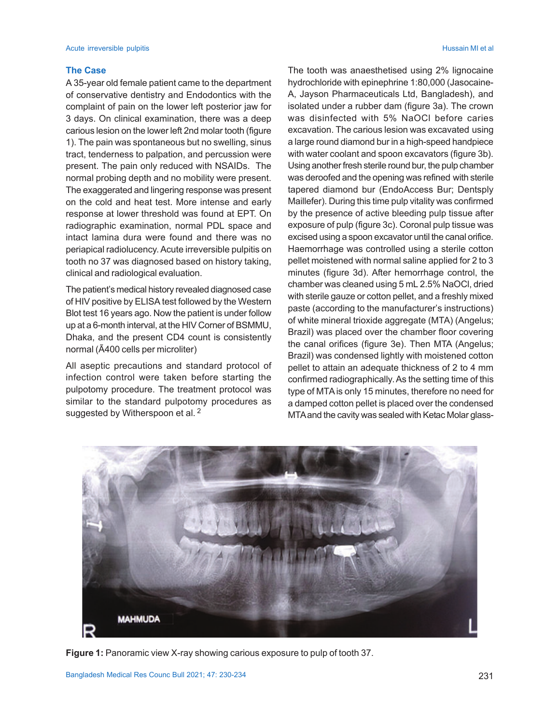### **The Case**

A 35-year old female patient came to the department of conservative dentistry and Endodontics with the complaint of pain on the lower left posterior jaw for 3 days. On clinical examination, there was a deep carious lesion on the lower left 2nd molar tooth (figure 1). The pain was spontaneous but no swelling, sinus tract, tenderness to palpation, and percussion were present. The pain only reduced with NSAIDs. The normal probing depth and no mobility were present. The exaggerated and lingering response was present on the cold and heat test. More intense and early response at lower threshold was found at EPT. On radiographic examination, normal PDL space and intact lamina dura were found and there was no periapical radiolucency. Acute irreversible pulpitis on tooth no 37 was diagnosed based on history taking, clinical and radiological evaluation.

The patient's medical history revealed diagnosed case of HIV positive by ELISA test followed by the Western Blot test 16 years ago. Now the patient is under follow up at a 6-month interval, at the HIV Corner of BSMMU, Dhaka, and the present CD4 count is consistently normal (Ã400 cells per microliter)

All aseptic precautions and standard protocol of infection control were taken before starting the pulpotomy procedure. The treatment protocol was similar to the standard pulpotomy procedures as suggested by Witherspoon et al.<sup>2</sup>

The tooth was anaesthetised using 2% lignocaine hydrochloride with epinephrine 1:80,000 (Jasocaine-A, Jayson Pharmaceuticals Ltd, Bangladesh), and isolated under a rubber dam (figure 3a). The crown was disinfected with 5% NaOCl before caries excavation. The carious lesion was excavated using a large round diamond bur in a high-speed handpiece with water coolant and spoon excavators (figure 3b). Using another fresh sterile round bur, the pulp chamber was deroofed and the opening was refined with sterile tapered diamond bur (EndoAccess Bur; Dentsply Maillefer). During this time pulp vitality was confirmed by the presence of active bleeding pulp tissue after exposure of pulp (figure 3c). Coronal pulp tissue was excised using a spoon excavator until the canal orifice. Haemorrhage was controlled using a sterile cotton pellet moistened with normal saline applied for 2 to 3 minutes (figure 3d). After hemorrhage control, the chamber was cleaned using 5 mL 2.5% NaOCl, dried with sterile gauze or cotton pellet, and a freshly mixed paste (according to the manufacturer's instructions) of white mineral trioxide aggregate (MTA) (Angelus; Brazil) was placed over the chamber floor covering the canal orifices (figure 3e). Then MTA (Angelus; Brazil) was condensed lightly with moistened cotton pellet to attain an adequate thickness of 2 to 4 mm confirmed radiographically. As the setting time of this type of MTA is only 15 minutes, therefore no need for a damped cotton pellet is placed over the condensed MTA and the cavity was sealed with Ketac Molar glass-



**Figure 1:** Panoramic view X-ray showing carious exposure to pulp of tooth 37.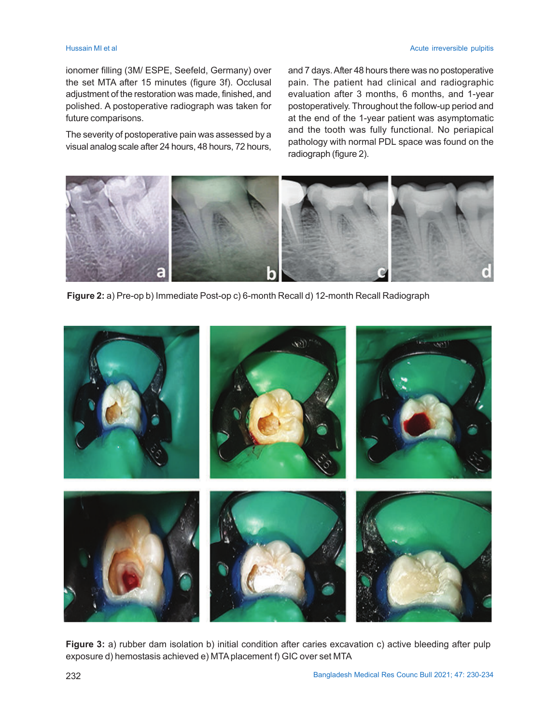### Hussain MI et al **Acute irreversible pulpitis** et al. Acute irreversible pulpitis et al. Acute irreversible pulpitis

ionomer filling (3M/ ESPE, Seefeld, Germany) over the set MTA after 15 minutes (figure 3f). Occlusal adjustment of the restoration was made, finished, and polished. A postoperative radiograph was taken for future comparisons.

The severity of postoperative pain was assessed by a visual analog scale after 24 hours, 48 hours, 72 hours,

and 7 days. After 48 hours there was no postoperative pain. The patient had clinical and radiographic evaluation after 3 months, 6 months, and 1-year postoperatively. Throughout the follow-up period and at the end of the 1-year patient was asymptomatic and the tooth was fully functional. No periapical pathology with normal PDL space was found on the radiograph (figure 2).



**Figure 2:** a) Pre-op b) Immediate Post-op c) 6-month Recall d) 12-month Recall Radiograph



**Figure 3:** a) rubber dam isolation b) initial condition after caries excavation c) active bleeding after pulp exposure d) hemostasis achieved e) MTA placement f) GIC over set MTA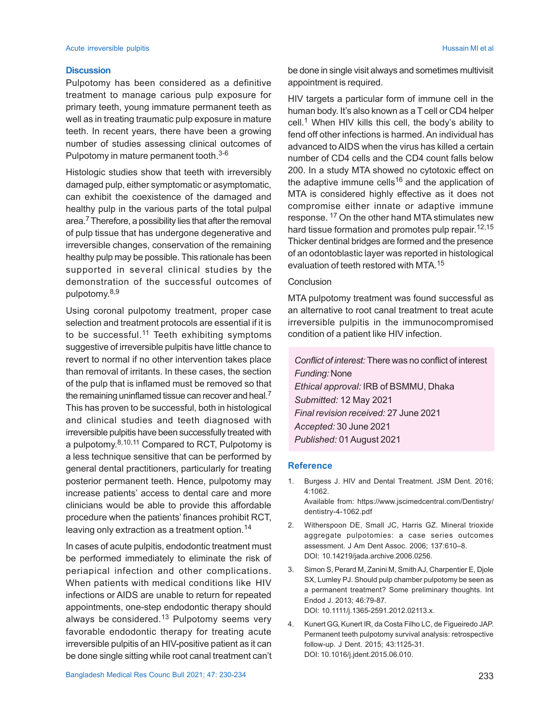### **Discussion**

Pulpotomy has been considered as a definitive treatment to manage carious pulp exposure for primary teeth, young immature permanent teeth as well as in treating traumatic pulp exposure in mature teeth. In recent years, there have been a growing number of studies assessing clinical outcomes of Pulpotomy in mature permanent tooth.3-6

Histologic studies show that teeth with irreversibly damaged pulp, either symptomatic or asymptomatic, can exhibit the coexistence of the damaged and healthy pulp in the various parts of the total pulpal area. $^7$  Therefore, a possibility lies that after the removal of pulp tissue that has undergone degenerative and irreversible changes, conservation of the remaining healthy pulp may be possible. This rationale has been supported in several clinical studies by the demonstration of the successful outcomes of pulpotomy. 8,9

Using coronal pulpotomy treatment, proper case selection and treatment protocols are essential if it is to be successful.<sup>11</sup> Teeth exhibiting symptoms suggestive of irreversible pulpitis have little chance to revert to normal if no other intervention takes place than removal of irritants. In these cases, the section of the pulp that is inflamed must be removed so that the remaining uninflamed tissue can recover and heal.<sup>7</sup> This has proven to be successful, both in histological and clinical studies and teeth diagnosed with irreversible pulpitis have been successfully treated with a pulpotomy.<sup>8,10,11</sup> Compared to RCT, Pulpotomy is a less technique sensitive that can be performed by general dental practitioners, particularly for treating posterior permanent teeth. Hence, pulpotomy may increase patients' access to dental care and more clinicians would be able to provide this affordable procedure when the patients' finances prohibit RCT, leaving only extraction as a treatment option.<sup>14</sup>

In cases of acute pulpitis, endodontic treatment must be performed immediately to eliminate the risk of periapical infection and other complications. When patients with medical conditions like HIV infections or AIDS are unable to return for repeated appointments, one-step endodontic therapy should always be considered.<sup>13</sup> Pulpotomy seems very favorable endodontic therapy for treating acute irreversible pulpitis of an HIV-positive patient as it can be done single sitting while root canal treatment can't HIV targets a particular form of immune cell in the human body. It's also known as a T cell or CD4 helper cell.<sup>1</sup> When HIV kills this cell, the body's ability to fend off other infections is harmed. An individual has advanced to AIDS when the virus has killed a certain number of CD4 cells and the CD4 count falls below 200. In a study MTA showed no cytotoxic effect on the adaptive immune cells<sup>16</sup> and the application of MTA is considered highly effective as it does not compromise either innate or adaptive immune response. 17 On the other hand MTA stimulates new hard tissue formation and promotes pulp repair. 12,15 Thicker dentinal bridges are formed and the presence of an odontoblastic layer was reported in histological evaluation of teeth restored with MTA.<sup>15</sup>

### **Conclusion**

MTA pulpotomy treatment was found successful as an alternative to root canal treatment to treat acute irreversible pulpitis in the immunocompromised condition of a patient like HIV infection.

*Conflict of interest:* There was no conflict of interest *Funding:* None *Ethical approval:* IRB of BSMMU, Dhaka *Submitted:* 12 May 2021 *Final revision received:* 27 June 2021 *Accepted:* 30 June 2021 *Published:* 01August 2021

### **Reference**

dentistry-4-1062.pdf

- 1. Burgess J. HIV and Dental Treatment. JSM Dent. 2016; 4:1062. Available from: https://www.jscimedcentral.com/Dentistry/
- 2. Witherspoon DE, Small JC, Harris GZ. Mineral trioxide aggregate pulpotomies: a case series outcomes assessment. J Am Dent Assoc. 2006; 137:610–8. DOI: 10.14219/jada.archive.2006.0256.
- 3. Simon S, Perard M, Zanini M, Smith AJ, Charpentier E, Djole SX, Lumley PJ. Should pulp chamber pulpotomy be seen as a permanent treatment? Some preliminary thoughts. Int Endod J. 2013; 46:79-87. DOI: 10.1111/j.1365-2591.2012.02113.x.
- 4. Kunert GG, Kunert IR, da Costa Filho LC, de Figueiredo JAP. Permanent teeth pulpotomy survival analysis: retrospective follow-up. J Dent. 2015; 43:1125-31. DOI: 10.1016/j.jdent.2015.06.010.